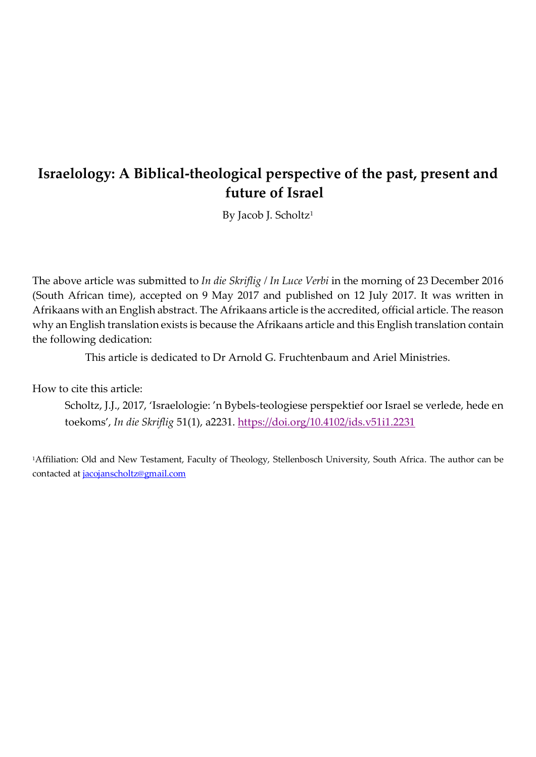# **Israelology: A Biblical-theological perspective of the past, present and future of Israel**

By Jacob J. Scholtz<sup>1</sup>

The above article was submitted to *In die Skriflig / In Luce Verbi* in the morning of 23 December 2016 (South African time), accepted on 9 May 2017 and published on 12 July 2017. It was written in Afrikaans with an English abstract. The Afrikaans article is the accredited, official article. The reason why an English translation exists is because the Afrikaans article and this English translation contain the following dedication:

This article is dedicated to Dr Arnold G. Fruchtenbaum and Ariel Ministries.

How to cite this article:

Scholtz, J.J., 2017, 'Israelologie: 'n Bybels-teologiese perspektief oor Israel se verlede, hede en toekoms', *In die Skriflig* 51(1), a2231.<https://doi.org/10.4102/ids.v51i1.2231>

<sup>1</sup>Affiliation: Old and New Testament, Faculty of Theology, Stellenbosch University, South Africa. The author can be contacted at [jacojanscholtz@gmail.com](mailto:jacojanscholtz@gmail.com)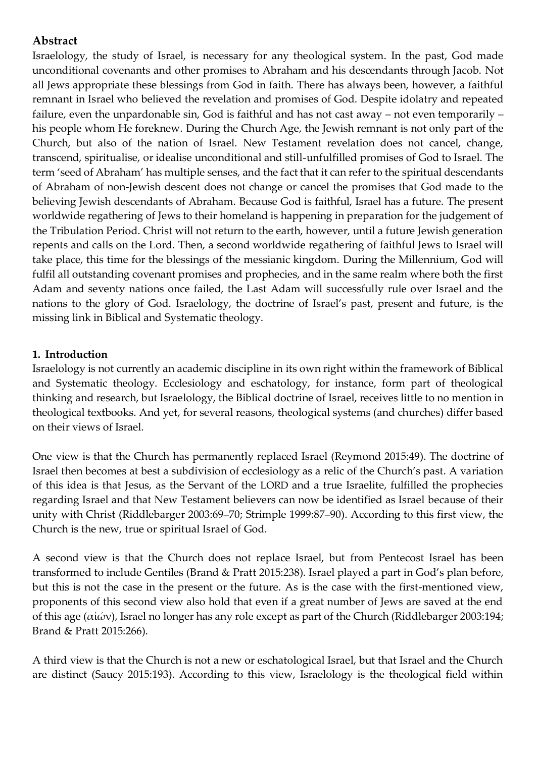# **Abstract**

Israelology, the study of Israel, is necessary for any theological system. In the past, God made unconditional covenants and other promises to Abraham and his descendants through Jacob. Not all Jews appropriate these blessings from God in faith. There has always been, however, a faithful remnant in Israel who believed the revelation and promises of God. Despite idolatry and repeated failure, even the unpardonable sin, God is faithful and has not cast away – not even temporarily – his people whom He foreknew. During the Church Age, the Jewish remnant is not only part of the Church, but also of the nation of Israel. New Testament revelation does not cancel, change, transcend, spiritualise, or idealise unconditional and still-unfulfilled promises of God to Israel. The term 'seed of Abraham' has multiple senses, and the fact that it can refer to the spiritual descendants of Abraham of non-Jewish descent does not change or cancel the promises that God made to the believing Jewish descendants of Abraham. Because God is faithful, Israel has a future. The present worldwide regathering of Jews to their homeland is happening in preparation for the judgement of the Tribulation Period. Christ will not return to the earth, however, until a future Jewish generation repents and calls on the Lord. Then, a second worldwide regathering of faithful Jews to Israel will take place, this time for the blessings of the messianic kingdom. During the Millennium, God will fulfil all outstanding covenant promises and prophecies, and in the same realm where both the first Adam and seventy nations once failed, the Last Adam will successfully rule over Israel and the nations to the glory of God. Israelology, the doctrine of Israel's past, present and future, is the missing link in Biblical and Systematic theology.

### **1. Introduction**

Israelology is not currently an academic discipline in its own right within the framework of Biblical and Systematic theology. Ecclesiology and eschatology, for instance, form part of theological thinking and research, but Israelology, the Biblical doctrine of Israel, receives little to no mention in theological textbooks. And yet, for several reasons, theological systems (and churches) differ based on their views of Israel.

One view is that the Church has permanently replaced Israel (Reymond 2015:49). The doctrine of Israel then becomes at best a subdivision of ecclesiology as a relic of the Church's past. A variation of this idea is that Jesus, as the Servant of the LORD and a true Israelite, fulfilled the prophecies regarding Israel and that New Testament believers can now be identified as Israel because of their unity with Christ (Riddlebarger 2003:69–70; Strimple 1999:87–90). According to this first view, the Church is the new, true or spiritual Israel of God.

A second view is that the Church does not replace Israel, but from Pentecost Israel has been transformed to include Gentiles (Brand & Pratt 2015:238). Israel played a part in God's plan before, but this is not the case in the present or the future. As is the case with the first-mentioned view, proponents of this second view also hold that even if a great number of Jews are saved at the end of this age (αἰών), Israel no longer has any role except as part of the Church (Riddlebarger 2003:194; Brand & Pratt 2015:266).

A third view is that the Church is not a new or eschatological Israel, but that Israel and the Church are distinct (Saucy 2015:193). According to this view, Israelology is the theological field within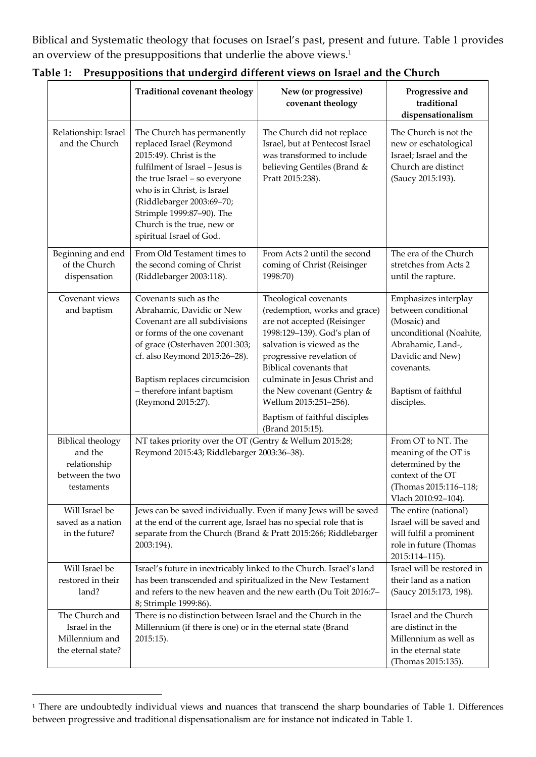Biblical and Systematic theology that focuses on Israel's past, present and future. Table 1 provides an overview of the presuppositions that underlie the above views. 1

|                                                                                      | <b>Traditional covenant theology</b>                                                                                                                                                                                                                                                                     | New (or progressive)<br>covenant theology                                                                                                                                                                                                                                                                                            | Progressive and<br>traditional<br>dispensationalism                                                                                                                                |
|--------------------------------------------------------------------------------------|----------------------------------------------------------------------------------------------------------------------------------------------------------------------------------------------------------------------------------------------------------------------------------------------------------|--------------------------------------------------------------------------------------------------------------------------------------------------------------------------------------------------------------------------------------------------------------------------------------------------------------------------------------|------------------------------------------------------------------------------------------------------------------------------------------------------------------------------------|
| Relationship: Israel<br>and the Church                                               | The Church has permanently<br>replaced Israel (Reymond<br>2015:49). Christ is the<br>fulfilment of Israel - Jesus is<br>the true Israel - so everyone<br>who is in Christ, is Israel<br>(Riddlebarger 2003:69-70;<br>Strimple 1999:87-90). The<br>Church is the true, new or<br>spiritual Israel of God. | The Church did not replace<br>Israel, but at Pentecost Israel<br>was transformed to include<br>believing Gentiles (Brand &<br>Pratt 2015:238).                                                                                                                                                                                       | The Church is not the<br>new or eschatological<br>Israel; Israel and the<br>Church are distinct<br>(Saucy 2015:193).                                                               |
| Beginning and end<br>of the Church<br>dispensation                                   | From Old Testament times to<br>the second coming of Christ<br>(Riddlebarger 2003:118).                                                                                                                                                                                                                   | From Acts 2 until the second<br>coming of Christ (Reisinger<br>1998:70)                                                                                                                                                                                                                                                              | The era of the Church<br>stretches from Acts 2<br>until the rapture.                                                                                                               |
| Covenant views<br>and baptism                                                        | Covenants such as the<br>Abrahamic, Davidic or New<br>Covenant are all subdivisions<br>or forms of the one covenant<br>of grace (Osterhaven 2001:303;<br>cf. also Reymond 2015:26-28).<br>Baptism replaces circumcision<br>- therefore infant baptism<br>(Reymond 2015:27).                              | Theological covenants<br>(redemption, works and grace)<br>are not accepted (Reisinger<br>1998:129-139). God's plan of<br>salvation is viewed as the<br>progressive revelation of<br>Biblical covenants that<br>culminate in Jesus Christ and<br>the New covenant (Gentry &<br>Wellum 2015:251-256).<br>Baptism of faithful disciples | Emphasizes interplay<br>between conditional<br>(Mosaic) and<br>unconditional (Noahite,<br>Abrahamic, Land-,<br>Davidic and New)<br>covenants.<br>Baptism of faithful<br>disciples. |
| <b>Biblical theology</b><br>and the<br>relationship<br>between the two<br>testaments | (Brand 2015:15).<br>NT takes priority over the OT (Gentry & Wellum 2015:28;<br>Reymond 2015:43; Riddlebarger 2003:36-38).                                                                                                                                                                                |                                                                                                                                                                                                                                                                                                                                      | From OT to NT. The<br>meaning of the OT is<br>determined by the<br>context of the OT<br>(Thomas 2015:116-118;<br>Vlach 2010:92-104).                                               |
| Will Israel be<br>saved as a nation<br>in the future?                                | Jews can be saved individually. Even if many Jews will be saved<br>at the end of the current age, Israel has no special role that is<br>separate from the Church (Brand & Pratt 2015:266; Riddlebarger<br>2003:194).                                                                                     |                                                                                                                                                                                                                                                                                                                                      | The entire (national)<br>Israel will be saved and<br>will fulfil a prominent<br>role in future (Thomas<br>2015:114-115).                                                           |
| Will Israel be<br>restored in their<br>land?                                         | Israel's future in inextricably linked to the Church. Israel's land<br>has been transcended and spiritualized in the New Testament<br>and refers to the new heaven and the new earth (Du Toit 2016:7-<br>8; Strimple 1999:86).                                                                           |                                                                                                                                                                                                                                                                                                                                      | Israel will be restored in<br>their land as a nation<br>(Saucy 2015:173, 198).                                                                                                     |
| The Church and<br>Israel in the<br>Millennium and<br>the eternal state?              | There is no distinction between Israel and the Church in the<br>Millennium (if there is one) or in the eternal state (Brand<br>2015:15).                                                                                                                                                                 |                                                                                                                                                                                                                                                                                                                                      | Israel and the Church<br>are distinct in the<br>Millennium as well as<br>in the eternal state<br>(Thomas 2015:135).                                                                |

**Table 1: Presuppositions that undergird different views on Israel and the Church**

<sup>&</sup>lt;sup>1</sup> There are undoubtedly individual views and nuances that transcend the sharp boundaries of Table 1. Differences between progressive and traditional dispensationalism are for instance not indicated in Table 1.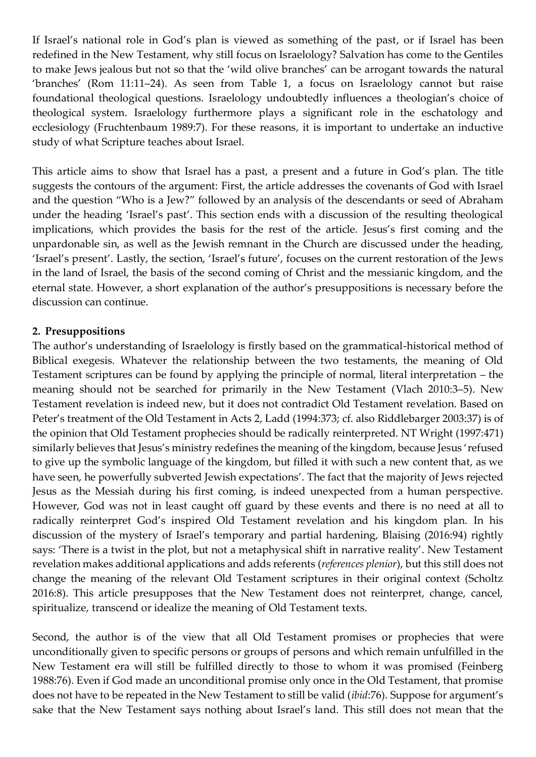If Israel's national role in God's plan is viewed as something of the past, or if Israel has been redefined in the New Testament, why still focus on Israelology? Salvation has come to the Gentiles to make Jews jealous but not so that the 'wild olive branches' can be arrogant towards the natural 'branches' (Rom 11:11–24). As seen from Table 1, a focus on Israelology cannot but raise foundational theological questions. Israelology undoubtedly influences a theologian's choice of theological system. Israelology furthermore plays a significant role in the eschatology and ecclesiology (Fruchtenbaum 1989:7). For these reasons, it is important to undertake an inductive study of what Scripture teaches about Israel.

This article aims to show that Israel has a past, a present and a future in God's plan. The title suggests the contours of the argument: First, the article addresses the covenants of God with Israel and the question "Who is a Jew?" followed by an analysis of the descendants or seed of Abraham under the heading 'Israel's past'. This section ends with a discussion of the resulting theological implications, which provides the basis for the rest of the article. Jesus's first coming and the unpardonable sin, as well as the Jewish remnant in the Church are discussed under the heading, 'Israel's present'. Lastly, the section, 'Israel's future', focuses on the current restoration of the Jews in the land of Israel, the basis of the second coming of Christ and the messianic kingdom, and the eternal state. However, a short explanation of the author's presuppositions is necessary before the discussion can continue.

#### **2. Presuppositions**

The author's understanding of Israelology is firstly based on the grammatical-historical method of Biblical exegesis. Whatever the relationship between the two testaments, the meaning of Old Testament scriptures can be found by applying the principle of normal, literal interpretation – the meaning should not be searched for primarily in the New Testament (Vlach 2010:3–5). New Testament revelation is indeed new, but it does not contradict Old Testament revelation. Based on Peter's treatment of the Old Testament in Acts 2, Ladd (1994:373; cf. also Riddlebarger 2003:37) is of the opinion that Old Testament prophecies should be radically reinterpreted. NT Wright (1997:471) similarly believes that Jesus's ministry redefines the meaning of the kingdom, because Jesus 'refused to give up the symbolic language of the kingdom, but filled it with such a new content that, as we have seen, he powerfully subverted Jewish expectations'. The fact that the majority of Jews rejected Jesus as the Messiah during his first coming, is indeed unexpected from a human perspective. However, God was not in least caught off guard by these events and there is no need at all to radically reinterpret God's inspired Old Testament revelation and his kingdom plan. In his discussion of the mystery of Israel's temporary and partial hardening, Blaising (2016:94) rightly says: 'There is a twist in the plot, but not a metaphysical shift in narrative reality'. New Testament revelation makes additional applications and adds referents (*references plenior*), but this still does not change the meaning of the relevant Old Testament scriptures in their original context (Scholtz 2016:8). This article presupposes that the New Testament does not reinterpret, change, cancel, spiritualize, transcend or idealize the meaning of Old Testament texts.

Second, the author is of the view that all Old Testament promises or prophecies that were unconditionally given to specific persons or groups of persons and which remain unfulfilled in the New Testament era will still be fulfilled directly to those to whom it was promised (Feinberg 1988:76). Even if God made an unconditional promise only once in the Old Testament, that promise does not have to be repeated in the New Testament to still be valid (*ibid*:76). Suppose for argument's sake that the New Testament says nothing about Israel's land. This still does not mean that the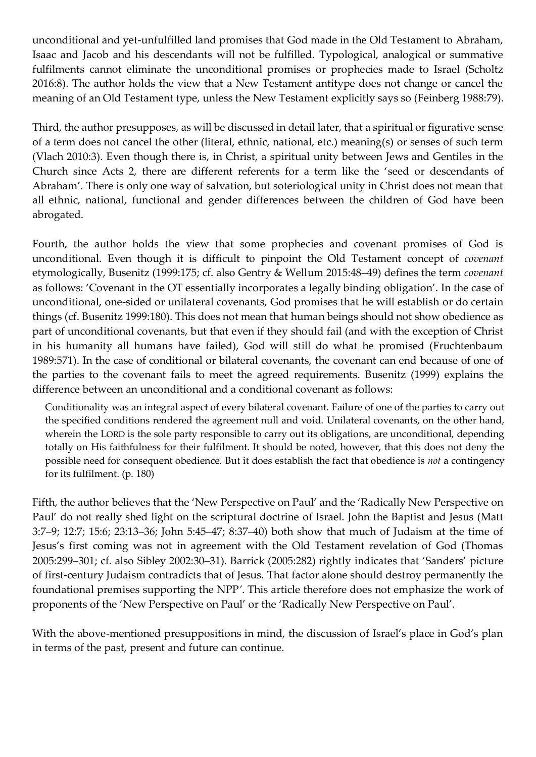unconditional and yet-unfulfilled land promises that God made in the Old Testament to Abraham, Isaac and Jacob and his descendants will not be fulfilled. Typological, analogical or summative fulfilments cannot eliminate the unconditional promises or prophecies made to Israel (Scholtz 2016:8). The author holds the view that a New Testament antitype does not change or cancel the meaning of an Old Testament type, unless the New Testament explicitly says so (Feinberg 1988:79).

Third, the author presupposes, as will be discussed in detail later, that a spiritual or figurative sense of a term does not cancel the other (literal, ethnic, national, etc.) meaning(s) or senses of such term (Vlach 2010:3). Even though there is, in Christ, a spiritual unity between Jews and Gentiles in the Church since Acts 2, there are different referents for a term like the 'seed or descendants of Abraham'. There is only one way of salvation, but soteriological unity in Christ does not mean that all ethnic, national, functional and gender differences between the children of God have been abrogated.

Fourth, the author holds the view that some prophecies and covenant promises of God is unconditional. Even though it is difficult to pinpoint the Old Testament concept of *covenant* etymologically, Busenitz (1999:175; cf. also Gentry & Wellum 2015:48–49) defines the term *covenant* as follows: 'Covenant in the OT essentially incorporates a legally binding obligation'. In the case of unconditional, one-sided or unilateral covenants, God promises that he will establish or do certain things (cf. Busenitz 1999:180). This does not mean that human beings should not show obedience as part of unconditional covenants, but that even if they should fail (and with the exception of Christ in his humanity all humans have failed), God will still do what he promised (Fruchtenbaum 1989:571). In the case of conditional or bilateral covenants, the covenant can end because of one of the parties to the covenant fails to meet the agreed requirements. Busenitz (1999) explains the difference between an unconditional and a conditional covenant as follows:

Conditionality was an integral aspect of every bilateral covenant. Failure of one of the parties to carry out the specified conditions rendered the agreement null and void. Unilateral covenants, on the other hand, wherein the LORD is the sole party responsible to carry out its obligations, are unconditional, depending totally on His faithfulness for their fulfilment. It should be noted, however, that this does not deny the possible need for consequent obedience. But it does establish the fact that obedience is *not* a contingency for its fulfilment. (p. 180)

Fifth, the author believes that the 'New Perspective on Paul' and the 'Radically New Perspective on Paul' do not really shed light on the scriptural doctrine of Israel. John the Baptist and Jesus (Matt 3:7–9; 12:7; 15:6; 23:13–36; John 5:45–47; 8:37–40) both show that much of Judaism at the time of Jesus's first coming was not in agreement with the Old Testament revelation of God (Thomas 2005:299–301; cf. also Sibley 2002:30–31). Barrick (2005:282) rightly indicates that 'Sanders' picture of first-century Judaism contradicts that of Jesus. That factor alone should destroy permanently the foundational premises supporting the NPP*'*. This article therefore does not emphasize the work of proponents of the 'New Perspective on Paul' or the 'Radically New Perspective on Paul'.

With the above-mentioned presuppositions in mind, the discussion of Israel's place in God's plan in terms of the past, present and future can continue.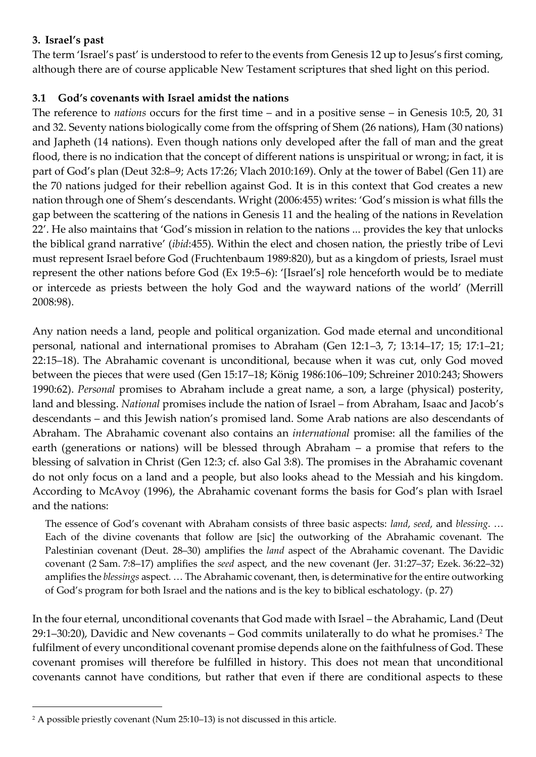# **3. Israel's past**

The term 'Israel's past' is understood to refer to the events from Genesis 12 up to Jesus's first coming, although there are of course applicable New Testament scriptures that shed light on this period.

## **3.1 God's covenants with Israel amidst the nations**

The reference to *nations* occurs for the first time – and in a positive sense – in Genesis 10:5, 20, 31 and 32. Seventy nations biologically come from the offspring of Shem (26 nations), Ham (30 nations) and Japheth (14 nations). Even though nations only developed after the fall of man and the great flood, there is no indication that the concept of different nations is unspiritual or wrong; in fact, it is part of God's plan (Deut 32:8–9; Acts 17:26; Vlach 2010:169). Only at the tower of Babel (Gen 11) are the 70 nations judged for their rebellion against God. It is in this context that God creates a new nation through one of Shem's descendants. Wright (2006:455) writes: 'God's mission is what fills the gap between the scattering of the nations in Genesis 11 and the healing of the nations in Revelation 22'. He also maintains that 'God's mission in relation to the nations ... provides the key that unlocks the biblical grand narrative' (*ibid*:455). Within the elect and chosen nation, the priestly tribe of Levi must represent Israel before God (Fruchtenbaum 1989:820), but as a kingdom of priests, Israel must represent the other nations before God (Ex 19:5–6): '[Israel's] role henceforth would be to mediate or intercede as priests between the holy God and the wayward nations of the world' (Merrill 2008:98).

Any nation needs a land, people and political organization. God made eternal and unconditional personal, national and international promises to Abraham (Gen 12:1–3, 7; 13:14–17; 15; 17:1–21; 22:15–18). The Abrahamic covenant is unconditional, because when it was cut, only God moved between the pieces that were used (Gen 15:17–18; König 1986:106–109; Schreiner 2010:243; Showers 1990:62). *Personal* promises to Abraham include a great name, a son, a large (physical) posterity, land and blessing. *National* promises include the nation of Israel – from Abraham, Isaac and Jacob's descendants – and this Jewish nation's promised land. Some Arab nations are also descendants of Abraham. The Abrahamic covenant also contains an *international* promise: all the families of the earth (generations or nations) will be blessed through Abraham – a promise that refers to the blessing of salvation in Christ (Gen 12:3; cf. also Gal 3:8). The promises in the Abrahamic covenant do not only focus on a land and a people, but also looks ahead to the Messiah and his kingdom. According to McAvoy (1996), the Abrahamic covenant forms the basis for God's plan with Israel and the nations:

The essence of God's covenant with Abraham consists of three basic aspects: *land*, *seed*, and *blessing*. … Each of the divine covenants that follow are [sic] the outworking of the Abrahamic covenant. The Palestinian covenant (Deut. 28–30) amplifies the *land* aspect of the Abrahamic covenant. The Davidic covenant (2 Sam. 7:8–17) amplifies the *seed* aspect, and the new covenant (Jer. 31:27–37; Ezek. 36:22–32) amplifies the *blessings* aspect. … The Abrahamic covenant, then, is determinative for the entire outworking of God's program for both Israel and the nations and is the key to biblical eschatology. (p. 27)

In the four eternal, unconditional covenants that God made with Israel – the Abrahamic, Land (Deut  $29:1-30:20$ ), Davidic and New covenants – God commits unilaterally to do what he promises.<sup>2</sup> The fulfilment of every unconditional covenant promise depends alone on the faithfulness of God. These covenant promises will therefore be fulfilled in history. This does not mean that unconditional covenants cannot have conditions, but rather that even if there are conditional aspects to these

<sup>2</sup> A possible priestly covenant (Num 25:10–13) is not discussed in this article.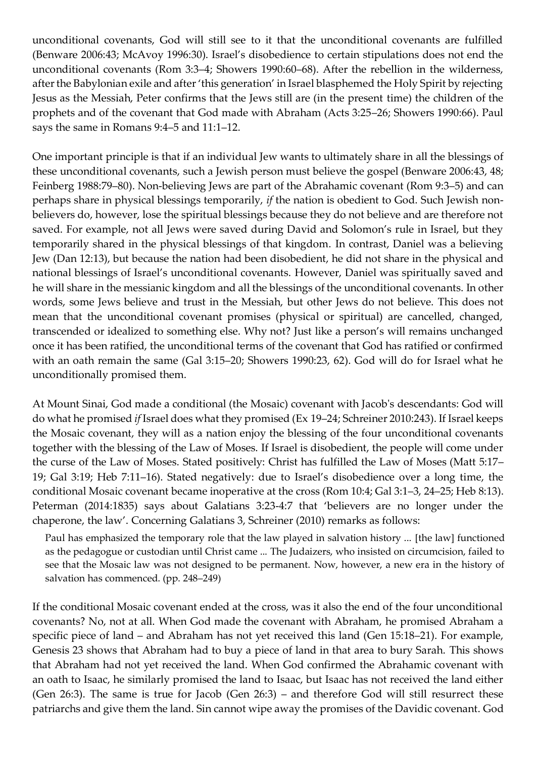unconditional covenants, God will still see to it that the unconditional covenants are fulfilled (Benware 2006:43; McAvoy 1996:30). Israel's disobedience to certain stipulations does not end the unconditional covenants (Rom 3:3–4; Showers 1990:60–68). After the rebellion in the wilderness, after the Babylonian exile and after 'this generation' in Israel blasphemed the Holy Spirit by rejecting Jesus as the Messiah, Peter confirms that the Jews still are (in the present time) the children of the prophets and of the covenant that God made with Abraham (Acts 3:25–26; Showers 1990:66). Paul says the same in Romans 9:4–5 and 11:1–12.

One important principle is that if an individual Jew wants to ultimately share in all the blessings of these unconditional covenants, such a Jewish person must believe the gospel (Benware 2006:43, 48; Feinberg 1988:79–80). Non-believing Jews are part of the Abrahamic covenant (Rom 9:3–5) and can perhaps share in physical blessings temporarily, *if* the nation is obedient to God. Such Jewish nonbelievers do, however, lose the spiritual blessings because they do not believe and are therefore not saved. For example, not all Jews were saved during David and Solomon's rule in Israel, but they temporarily shared in the physical blessings of that kingdom. In contrast, Daniel was a believing Jew (Dan 12:13), but because the nation had been disobedient, he did not share in the physical and national blessings of Israel's unconditional covenants. However, Daniel was spiritually saved and he will share in the messianic kingdom and all the blessings of the unconditional covenants. In other words, some Jews believe and trust in the Messiah, but other Jews do not believe. This does not mean that the unconditional covenant promises (physical or spiritual) are cancelled, changed, transcended or idealized to something else. Why not? Just like a person's will remains unchanged once it has been ratified, the unconditional terms of the covenant that God has ratified or confirmed with an oath remain the same (Gal 3:15–20; Showers 1990:23, 62). God will do for Israel what he unconditionally promised them.

At Mount Sinai, God made a conditional (the Mosaic) covenant with Jacob's descendants: God will do what he promised *if* Israel does what they promised (Ex 19–24; Schreiner 2010:243). If Israel keeps the Mosaic covenant, they will as a nation enjoy the blessing of the four unconditional covenants together with the blessing of the Law of Moses. If Israel is disobedient, the people will come under the curse of the Law of Moses. Stated positively: Christ has fulfilled the Law of Moses (Matt 5:17– 19; Gal 3:19; Heb 7:11–16). Stated negatively: due to Israel's disobedience over a long time, the conditional Mosaic covenant became inoperative at the cross (Rom 10:4; Gal 3:1–3, 24–25; Heb 8:13). Peterman (2014:1835) says about Galatians 3:23-4:7 that 'believers are no longer under the chaperone, the law'. Concerning Galatians 3, Schreiner (2010) remarks as follows:

Paul has emphasized the temporary role that the law played in salvation history ... [the law] functioned as the pedagogue or custodian until Christ came ... The Judaizers, who insisted on circumcision, failed to see that the Mosaic law was not designed to be permanent. Now, however, a new era in the history of salvation has commenced. (pp. 248–249)

If the conditional Mosaic covenant ended at the cross, was it also the end of the four unconditional covenants? No, not at all. When God made the covenant with Abraham, he promised Abraham a specific piece of land – and Abraham has not yet received this land (Gen 15:18–21). For example, Genesis 23 shows that Abraham had to buy a piece of land in that area to bury Sarah. This shows that Abraham had not yet received the land. When God confirmed the Abrahamic covenant with an oath to Isaac, he similarly promised the land to Isaac, but Isaac has not received the land either (Gen 26:3). The same is true for Jacob (Gen 26:3) – and therefore God will still resurrect these patriarchs and give them the land. Sin cannot wipe away the promises of the Davidic covenant. God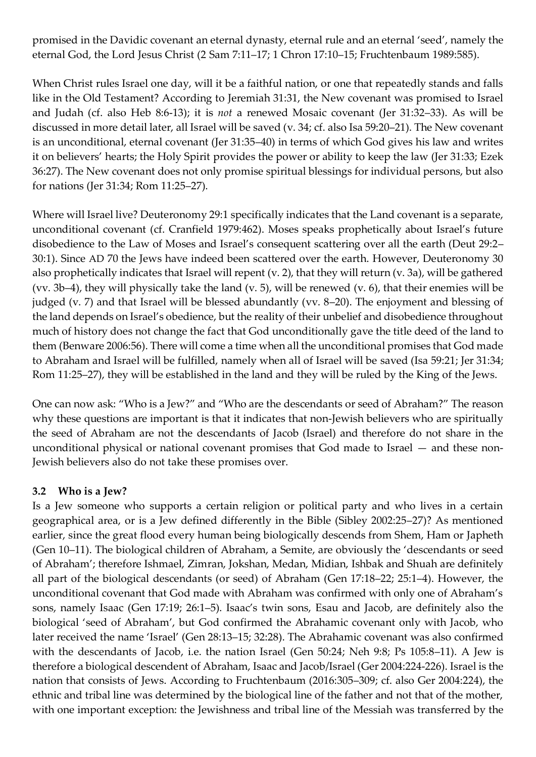promised in the Davidic covenant an eternal dynasty, eternal rule and an eternal 'seed', namely the eternal God, the Lord Jesus Christ (2 Sam 7:11–17; 1 Chron 17:10–15; Fruchtenbaum 1989:585).

When Christ rules Israel one day, will it be a faithful nation, or one that repeatedly stands and falls like in the Old Testament? According to Jeremiah 31:31, the New covenant was promised to Israel and Judah (cf. also Heb 8:6-13); it is *not* a renewed Mosaic covenant (Jer 31:32–33). As will be discussed in more detail later, all Israel will be saved (v. 34; cf. also Isa 59:20–21). The New covenant is an unconditional, eternal covenant (Jer 31:35–40) in terms of which God gives his law and writes it on believers' hearts; the Holy Spirit provides the power or ability to keep the law (Jer 31:33; Ezek 36:27). The New covenant does not only promise spiritual blessings for individual persons, but also for nations (Jer 31:34; Rom 11:25–27).

Where will Israel live? Deuteronomy 29:1 specifically indicates that the Land covenant is a separate, unconditional covenant (cf. Cranfield 1979:462). Moses speaks prophetically about Israel's future disobedience to the Law of Moses and Israel's consequent scattering over all the earth (Deut 29:2– 30:1). Since AD 70 the Jews have indeed been scattered over the earth. However, Deuteronomy 30 also prophetically indicates that Israel will repent (v. 2), that they will return (v. 3a), will be gathered (vv. 3b–4), they will physically take the land (v. 5), will be renewed (v. 6), that their enemies will be judged (v. 7) and that Israel will be blessed abundantly (vv. 8–20). The enjoyment and blessing of the land depends on Israel's obedience, but the reality of their unbelief and disobedience throughout much of history does not change the fact that God unconditionally gave the title deed of the land to them (Benware 2006:56). There will come a time when all the unconditional promises that God made to Abraham and Israel will be fulfilled, namely when all of Israel will be saved (Isa 59:21; Jer 31:34; Rom 11:25–27), they will be established in the land and they will be ruled by the King of the Jews.

One can now ask: "Who is a Jew?" and "Who are the descendants or seed of Abraham?" The reason why these questions are important is that it indicates that non-Jewish believers who are spiritually the seed of Abraham are not the descendants of Jacob (Israel) and therefore do not share in the unconditional physical or national covenant promises that God made to Israel — and these non-Jewish believers also do not take these promises over.

# **3.2 Who is a Jew?**

Is a Jew someone who supports a certain religion or political party and who lives in a certain geographical area, or is a Jew defined differently in the Bible (Sibley 2002:25–27)? As mentioned earlier, since the great flood every human being biologically descends from Shem, Ham or Japheth (Gen 10–11). The biological children of Abraham, a Semite, are obviously the 'descendants or seed of Abraham'; therefore Ishmael, Zimran, Jokshan, Medan, Midian, Ishbak and Shuah are definitely all part of the biological descendants (or seed) of Abraham (Gen 17:18–22; 25:1–4). However, the unconditional covenant that God made with Abraham was confirmed with only one of Abraham's sons, namely Isaac (Gen 17:19; 26:1–5). Isaac's twin sons, Esau and Jacob, are definitely also the biological 'seed of Abraham', but God confirmed the Abrahamic covenant only with Jacob, who later received the name 'Israel' (Gen 28:13–15; 32:28). The Abrahamic covenant was also confirmed with the descendants of Jacob, i.e. the nation Israel (Gen 50:24; Neh 9:8; Ps 105:8–11). A Jew is therefore a biological descendent of Abraham, Isaac and Jacob/Israel (Ger 2004:224-226). Israel is the nation that consists of Jews. According to Fruchtenbaum (2016:305–309; cf. also Ger 2004:224), the ethnic and tribal line was determined by the biological line of the father and not that of the mother, with one important exception: the Jewishness and tribal line of the Messiah was transferred by the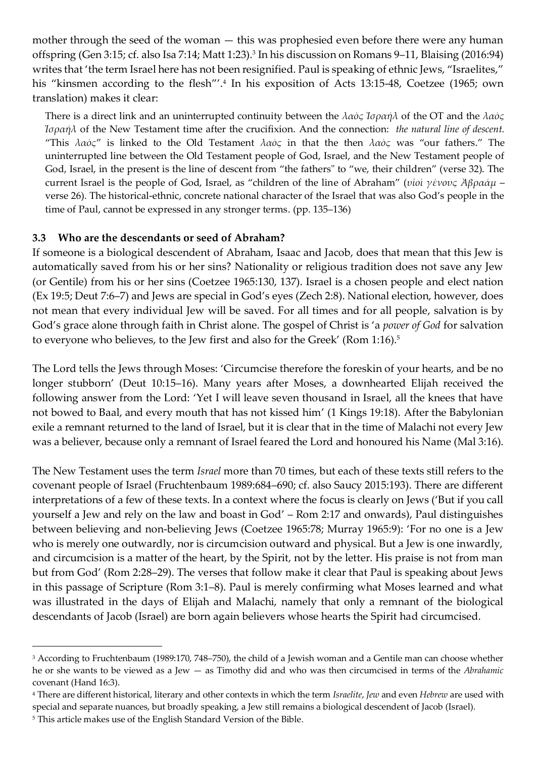mother through the seed of the woman — this was prophesied even before there were any human offspring (Gen 3:15; cf. also Isa 7:14; Matt 1:23).<sup>3</sup> In his discussion on Romans 9–11, Blaising (2016:94) writes that 'the term Israel here has not been resignified. Paul is speaking of ethnic Jews, "Israelites," his "kinsmen according to the flesh"'.<sup>4</sup> In his exposition of Acts 13:15-48, Coetzee (1965; own translation) makes it clear:

There is a direct link and an uninterrupted continuity between the *λαὸς Ἰσραήλ* of the OT and the *λαὸς Ἰσραήλ* of the New Testament time after the crucifixion. And the connection: *the natural line of descent.* "This *λαὸς*" is linked to the Old Testament *λαὸς* in that the then *λαὸς* was "our fathers." The uninterrupted line between the Old Testament people of God, Israel, and the New Testament people of God, Israel, in the present is the line of descent from "the fathers" to "we, their children" (verse 32). The current Israel is the people of God, Israel, as "children of the line of Abraham" (*υἱοὶ γένους Ἀβραάμ* – verse 26). The historical-ethnic, concrete national character of the Israel that was also God's people in the time of Paul, cannot be expressed in any stronger terms. (pp. 135–136)

#### **3.3 Who are the descendants or seed of Abraham?**

If someone is a biological descendent of Abraham, Isaac and Jacob, does that mean that this Jew is automatically saved from his or her sins? Nationality or religious tradition does not save any Jew (or Gentile) from his or her sins (Coetzee 1965:130, 137). Israel is a chosen people and elect nation (Ex 19:5; Deut 7:6–7) and Jews are special in God's eyes (Zech 2:8). National election, however, does not mean that every individual Jew will be saved. For all times and for all people, salvation is by God's grace alone through faith in Christ alone. The gospel of Christ is 'a *power of God* for salvation to everyone who believes, to the Jew first and also for the Greek' (Rom 1:16).<sup>5</sup>

The Lord tells the Jews through Moses: 'Circumcise therefore the foreskin of your hearts, and be no longer stubborn' (Deut 10:15–16). Many years after Moses, a downhearted Elijah received the following answer from the Lord: 'Yet I will leave seven thousand in Israel, all the knees that have not bowed to Baal, and every mouth that has not kissed him' (1 Kings 19:18). After the Babylonian exile a remnant returned to the land of Israel, but it is clear that in the time of Malachi not every Jew was a believer, because only a remnant of Israel feared the Lord and honoured his Name (Mal 3:16).

The New Testament uses the term *Israel* more than 70 times, but each of these texts still refers to the covenant people of Israel (Fruchtenbaum 1989:684–690; cf. also Saucy 2015:193). There are different interpretations of a few of these texts. In a context where the focus is clearly on Jews ('But if you call yourself a Jew and rely on the law and boast in God' – Rom 2:17 and onwards), Paul distinguishes between believing and non-believing Jews (Coetzee 1965:78; Murray 1965:9): 'For no one is a Jew who is merely one outwardly, nor is circumcision outward and physical. But a Jew is one inwardly, and circumcision is a matter of the heart, by the Spirit, not by the letter. His praise is not from man but from God' (Rom 2:28–29). The verses that follow make it clear that Paul is speaking about Jews in this passage of Scripture (Rom 3:1–8). Paul is merely confirming what Moses learned and what was illustrated in the days of Elijah and Malachi, namely that only a remnant of the biological descendants of Jacob (Israel) are born again believers whose hearts the Spirit had circumcised.

<sup>3</sup> According to Fruchtenbaum (1989:170, 748–750), the child of a Jewish woman and a Gentile man can choose whether he or she wants to be viewed as a Jew — as Timothy did and who was then circumcised in terms of the *Abrahamic* covenant (Hand 16:3).

<sup>4</sup> There are different historical, literary and other contexts in which the term *Israelite*, *Jew* and even *Hebrew* are used with special and separate nuances, but broadly speaking, a Jew still remains a biological descendent of Jacob (Israel).

<sup>5</sup> This article makes use of the English Standard Version of the Bible.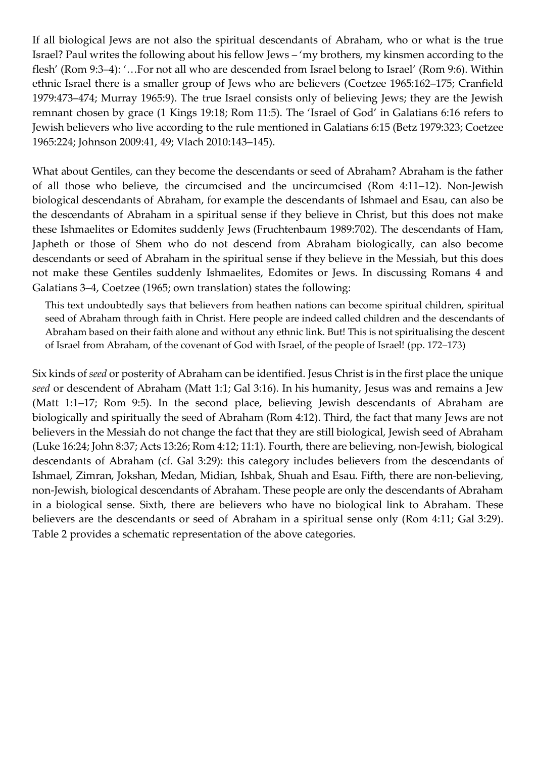If all biological Jews are not also the spiritual descendants of Abraham, who or what is the true Israel? Paul writes the following about his fellow Jews – 'my brothers, my kinsmen according to the flesh' (Rom 9:3–4): '…For not all who are descended from Israel belong to Israel' (Rom 9:6). Within ethnic Israel there is a smaller group of Jews who are believers (Coetzee 1965:162–175; Cranfield 1979:473–474; Murray 1965:9). The true Israel consists only of believing Jews; they are the Jewish remnant chosen by grace (1 Kings 19:18; Rom 11:5). The 'Israel of God' in Galatians 6:16 refers to Jewish believers who live according to the rule mentioned in Galatians 6:15 (Betz 1979:323; Coetzee 1965:224; Johnson 2009:41, 49; Vlach 2010:143–145).

What about Gentiles, can they become the descendants or seed of Abraham? Abraham is the father of all those who believe, the circumcised and the uncircumcised (Rom 4:11–12). Non-Jewish biological descendants of Abraham, for example the descendants of Ishmael and Esau, can also be the descendants of Abraham in a spiritual sense if they believe in Christ, but this does not make these Ishmaelites or Edomites suddenly Jews (Fruchtenbaum 1989:702). The descendants of Ham, Japheth or those of Shem who do not descend from Abraham biologically, can also become descendants or seed of Abraham in the spiritual sense if they believe in the Messiah, but this does not make these Gentiles suddenly Ishmaelites, Edomites or Jews. In discussing Romans 4 and Galatians 3–4, Coetzee (1965; own translation) states the following:

This text undoubtedly says that believers from heathen nations can become spiritual children, spiritual seed of Abraham through faith in Christ. Here people are indeed called children and the descendants of Abraham based on their faith alone and without any ethnic link. But! This is not spiritualising the descent of Israel from Abraham, of the covenant of God with Israel, of the people of Israel! (pp. 172–173)

Six kinds of *seed* or posterity of Abraham can be identified. Jesus Christ is in the first place the unique *seed* or descendent of Abraham (Matt 1:1; Gal 3:16). In his humanity, Jesus was and remains a Jew (Matt 1:1–17; Rom 9:5). In the second place, believing Jewish descendants of Abraham are biologically and spiritually the seed of Abraham (Rom 4:12). Third, the fact that many Jews are not believers in the Messiah do not change the fact that they are still biological, Jewish seed of Abraham (Luke 16:24; John 8:37; Acts 13:26; Rom 4:12; 11:1). Fourth, there are believing, non-Jewish, biological descendants of Abraham (cf. Gal 3:29): this category includes believers from the descendants of Ishmael, Zimran, Jokshan, Medan, Midian, Ishbak, Shuah and Esau. Fifth, there are non-believing, non-Jewish, biological descendants of Abraham. These people are only the descendants of Abraham in a biological sense. Sixth, there are believers who have no biological link to Abraham. These believers are the descendants or seed of Abraham in a spiritual sense only (Rom 4:11; Gal 3:29). Table 2 provides a schematic representation of the above categories.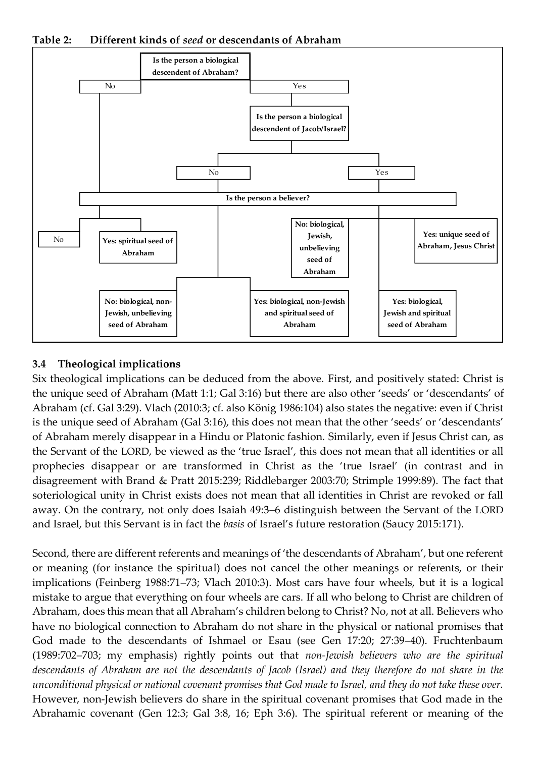**Table 2: Different kinds of** *seed* **or descendants of Abraham**



### **3.4 Theological implications**

Six theological implications can be deduced from the above. First, and positively stated: Christ is the unique seed of Abraham (Matt 1:1; Gal 3:16) but there are also other 'seeds' or 'descendants' of Abraham (cf. Gal 3:29). Vlach (2010:3; cf. also König 1986:104) also states the negative: even if Christ is the unique seed of Abraham (Gal 3:16), this does not mean that the other 'seeds' or 'descendants' of Abraham merely disappear in a Hindu or Platonic fashion. Similarly, even if Jesus Christ can, as the Servant of the LORD, be viewed as the 'true Israel', this does not mean that all identities or all prophecies disappear or are transformed in Christ as the 'true Israel' (in contrast and in disagreement with Brand & Pratt 2015:239; Riddlebarger 2003:70; Strimple 1999:89). The fact that soteriological unity in Christ exists does not mean that all identities in Christ are revoked or fall away. On the contrary, not only does Isaiah 49:3–6 distinguish between the Servant of the LORD and Israel, but this Servant is in fact the *basis* of Israel's future restoration (Saucy 2015:171).

Second, there are different referents and meanings of 'the descendants of Abraham', but one referent or meaning (for instance the spiritual) does not cancel the other meanings or referents, or their implications (Feinberg 1988:71–73; Vlach 2010:3). Most cars have four wheels, but it is a logical mistake to argue that everything on four wheels are cars. If all who belong to Christ are children of Abraham, does this mean that all Abraham's children belong to Christ? No, not at all. Believers who have no biological connection to Abraham do not share in the physical or national promises that God made to the descendants of Ishmael or Esau (see Gen 17:20; 27:39–40). Fruchtenbaum (1989:702–703; my emphasis) rightly points out that *non-Jewish believers who are the spiritual descendants of Abraham are not the descendants of Jacob (Israel) and they therefore do not share in the unconditional physical or national covenant promises that God made to Israel, and they do not take these over.* However, non-Jewish believers do share in the spiritual covenant promises that God made in the Abrahamic covenant (Gen 12:3; Gal 3:8, 16; Eph 3:6). The spiritual referent or meaning of the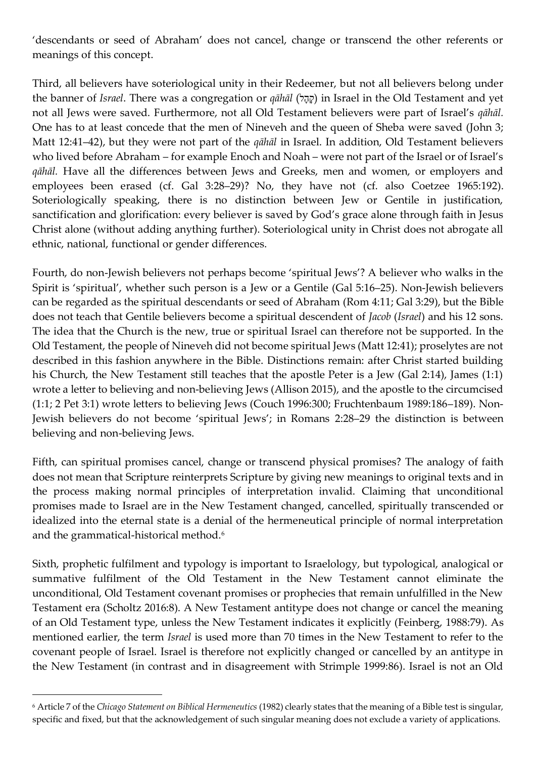'descendants or seed of Abraham' does not cancel, change or transcend the other referents or meanings of this concept.

Third, all believers have soteriological unity in their Redeemer, but not all believers belong under the banner of *Israel*. There was a congregation or *qāhāl* (קָהָל) in Israel in the Old Testament and yet not all Jews were saved. Furthermore, not all Old Testament believers were part of Israel's *qāhāl.* One has to at least concede that the men of Nineveh and the queen of Sheba were saved (John 3; Matt 12:41–42), but they were not part of the *qāhāl* in Israel. In addition, Old Testament believers who lived before Abraham – for example Enoch and Noah – were not part of the Israel or of Israel's *qāhāl.* Have all the differences between Jews and Greeks, men and women, or employers and employees been erased (cf. Gal 3:28–29)? No, they have not (cf. also Coetzee 1965:192). Soteriologically speaking, there is no distinction between Jew or Gentile in justification, sanctification and glorification: every believer is saved by God's grace alone through faith in Jesus Christ alone (without adding anything further). Soteriological unity in Christ does not abrogate all ethnic, national, functional or gender differences.

Fourth, do non-Jewish believers not perhaps become 'spiritual Jews'? A believer who walks in the Spirit is 'spiritual', whether such person is a Jew or a Gentile (Gal 5:16–25). Non-Jewish believers can be regarded as the spiritual descendants or seed of Abraham (Rom 4:11; Gal 3:29), but the Bible does not teach that Gentile believers become a spiritual descendent of *Jacob* (*Israel*) and his 12 sons. The idea that the Church is the new, true or spiritual Israel can therefore not be supported. In the Old Testament, the people of Nineveh did not become spiritual Jews (Matt 12:41); proselytes are not described in this fashion anywhere in the Bible. Distinctions remain: after Christ started building his Church, the New Testament still teaches that the apostle Peter is a Jew (Gal 2:14), James (1:1) wrote a letter to believing and non-believing Jews (Allison 2015), and the apostle to the circumcised (1:1; 2 Pet 3:1) wrote letters to believing Jews (Couch 1996:300; Fruchtenbaum 1989:186–189). Non-Jewish believers do not become 'spiritual Jews'; in Romans 2:28–29 the distinction is between believing and non-believing Jews.

Fifth, can spiritual promises cancel, change or transcend physical promises? The analogy of faith does not mean that Scripture reinterprets Scripture by giving new meanings to original texts and in the process making normal principles of interpretation invalid. Claiming that unconditional promises made to Israel are in the New Testament changed, cancelled, spiritually transcended or idealized into the eternal state is a denial of the hermeneutical principle of normal interpretation and the grammatical-historical method.<sup>6</sup>

Sixth, prophetic fulfilment and typology is important to Israelology, but typological, analogical or summative fulfilment of the Old Testament in the New Testament cannot eliminate the unconditional, Old Testament covenant promises or prophecies that remain unfulfilled in the New Testament era (Scholtz 2016:8). A New Testament antitype does not change or cancel the meaning of an Old Testament type, unless the New Testament indicates it explicitly (Feinberg, 1988:79). As mentioned earlier, the term *Israel* is used more than 70 times in the New Testament to refer to the covenant people of Israel. Israel is therefore not explicitly changed or cancelled by an antitype in the New Testament (in contrast and in disagreement with Strimple 1999:86). Israel is not an Old

<sup>6</sup> Article 7 of the *Chicago Statement on Biblical Hermeneutics* (1982) clearly states that the meaning of a Bible test is singular, specific and fixed, but that the acknowledgement of such singular meaning does not exclude a variety of applications.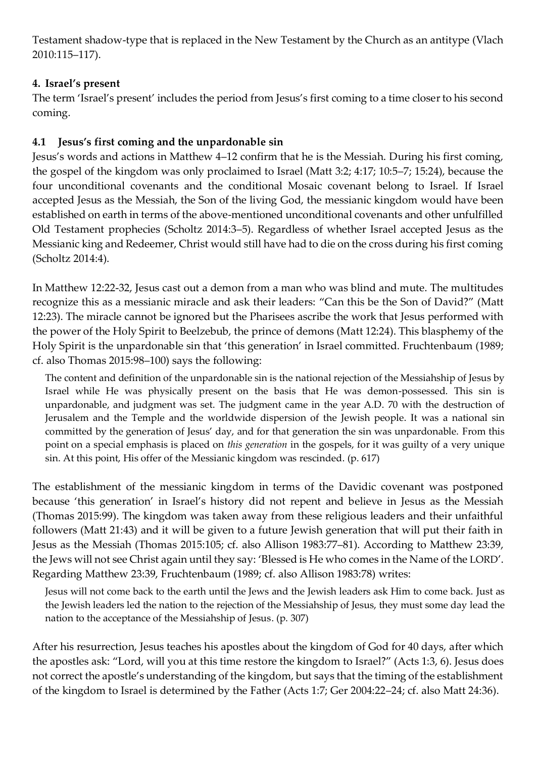Testament shadow-type that is replaced in the New Testament by the Church as an antitype (Vlach 2010:115–117).

# **4. Israel's present**

The term 'Israel's present' includes the period from Jesus's first coming to a time closerto his second coming.

# **4.1 Jesus's first coming and the unpardonable sin**

Jesus's words and actions in Matthew 4–12 confirm that he is the Messiah. During his first coming, the gospel of the kingdom was only proclaimed to Israel (Matt 3:2; 4:17; 10:5–7; 15:24), because the four unconditional covenants and the conditional Mosaic covenant belong to Israel. If Israel accepted Jesus as the Messiah, the Son of the living God, the messianic kingdom would have been established on earth in terms of the above-mentioned unconditional covenants and other unfulfilled Old Testament prophecies (Scholtz 2014:3–5). Regardless of whether Israel accepted Jesus as the Messianic king and Redeemer, Christ would still have had to die on the cross during his first coming (Scholtz 2014:4).

In Matthew 12:22-32, Jesus cast out a demon from a man who was blind and mute. The multitudes recognize this as a messianic miracle and ask their leaders: "Can this be the Son of David?" (Matt 12:23). The miracle cannot be ignored but the Pharisees ascribe the work that Jesus performed with the power of the Holy Spirit to Beelzebub, the prince of demons (Matt 12:24). This blasphemy of the Holy Spirit is the unpardonable sin that 'this generation' in Israel committed. Fruchtenbaum (1989; cf. also Thomas 2015:98–100) says the following:

The content and definition of the unpardonable sin is the national rejection of the Messiahship of Jesus by Israel while He was physically present on the basis that He was demon-possessed. This sin is unpardonable, and judgment was set. The judgment came in the year A.D. 70 with the destruction of Jerusalem and the Temple and the worldwide dispersion of the Jewish people. It was a national sin committed by the generation of Jesus' day, and for that generation the sin was unpardonable. From this point on a special emphasis is placed on *this generation* in the gospels, for it was guilty of a very unique sin. At this point, His offer of the Messianic kingdom was rescinded. (p. 617)

The establishment of the messianic kingdom in terms of the Davidic covenant was postponed because 'this generation' in Israel's history did not repent and believe in Jesus as the Messiah (Thomas 2015:99). The kingdom was taken away from these religious leaders and their unfaithful followers (Matt 21:43) and it will be given to a future Jewish generation that will put their faith in Jesus as the Messiah (Thomas 2015:105; cf. also Allison 1983:77–81). According to Matthew 23:39, the Jews will not see Christ again until they say: 'Blessed is He who comes in the Name of the LORD'. Regarding Matthew 23:39, Fruchtenbaum (1989; cf. also Allison 1983:78) writes:

Jesus will not come back to the earth until the Jews and the Jewish leaders ask Him to come back. Just as the Jewish leaders led the nation to the rejection of the Messiahship of Jesus, they must some day lead the nation to the acceptance of the Messiahship of Jesus. (p. 307)

After his resurrection, Jesus teaches his apostles about the kingdom of God for 40 days, after which the apostles ask: "Lord, will you at this time restore the kingdom to Israel?" (Acts 1:3, 6). Jesus does not correct the apostle's understanding of the kingdom, but says that the timing of the establishment of the kingdom to Israel is determined by the Father (Acts 1:7; Ger 2004:22–24; cf. also Matt 24:36).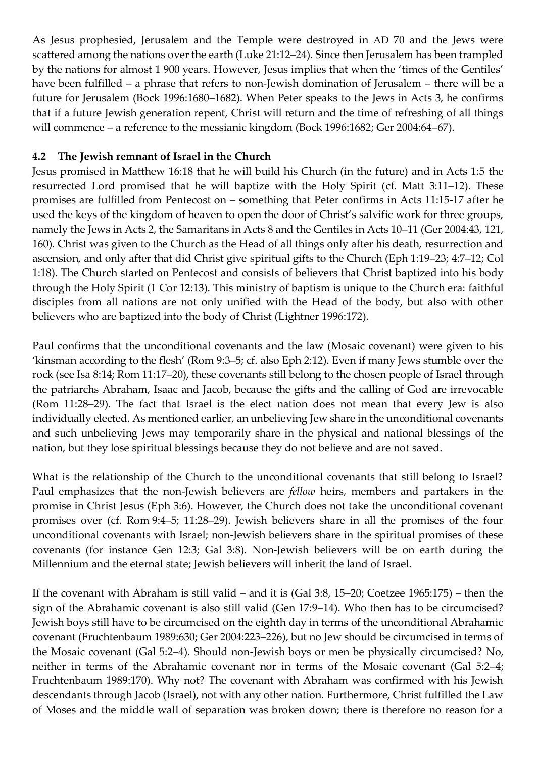As Jesus prophesied, Jerusalem and the Temple were destroyed in AD 70 and the Jews were scattered among the nations over the earth (Luke 21:12–24). Since then Jerusalem has been trampled by the nations for almost 1 900 years. However, Jesus implies that when the 'times of the Gentiles' have been fulfilled – a phrase that refers to non-Jewish domination of Jerusalem – there will be a future for Jerusalem (Bock 1996:1680–1682). When Peter speaks to the Jews in Acts 3, he confirms that if a future Jewish generation repent, Christ will return and the time of refreshing of all things will commence – a reference to the messianic kingdom (Bock 1996:1682; Ger 2004:64–67).

## **4.2 The Jewish remnant of Israel in the Church**

Jesus promised in Matthew 16:18 that he will build his Church (in the future) and in Acts 1:5 the resurrected Lord promised that he will baptize with the Holy Spirit (cf. Matt 3:11–12). These promises are fulfilled from Pentecost on – something that Peter confirms in Acts 11:15-17 after he used the keys of the kingdom of heaven to open the door of Christ's salvific work for three groups, namely the Jews in Acts 2, the Samaritans in Acts 8 and the Gentiles in Acts 10–11 (Ger 2004:43, 121, 160). Christ was given to the Church as the Head of all things only after his death, resurrection and ascension, and only after that did Christ give spiritual gifts to the Church (Eph 1:19–23; 4:7–12; Col 1:18). The Church started on Pentecost and consists of believers that Christ baptized into his body through the Holy Spirit (1 Cor 12:13). This ministry of baptism is unique to the Church era: faithful disciples from all nations are not only unified with the Head of the body, but also with other believers who are baptized into the body of Christ (Lightner 1996:172).

Paul confirms that the unconditional covenants and the law (Mosaic covenant) were given to his 'kinsman according to the flesh' (Rom 9:3–5; cf. also Eph 2:12). Even if many Jews stumble over the rock (see Isa 8:14; Rom 11:17–20), these covenants still belong to the chosen people of Israel through the patriarchs Abraham, Isaac and Jacob, because the gifts and the calling of God are irrevocable (Rom 11:28–29). The fact that Israel is the elect nation does not mean that every Jew is also individually elected. As mentioned earlier, an unbelieving Jew share in the unconditional covenants and such unbelieving Jews may temporarily share in the physical and national blessings of the nation, but they lose spiritual blessings because they do not believe and are not saved.

What is the relationship of the Church to the unconditional covenants that still belong to Israel? Paul emphasizes that the non-Jewish believers are *fellow* heirs, members and partakers in the promise in Christ Jesus (Eph 3:6). However, the Church does not take the unconditional covenant promises over (cf. Rom 9:4–5; 11:28–29). Jewish believers share in all the promises of the four unconditional covenants with Israel; non-Jewish believers share in the spiritual promises of these covenants (for instance Gen 12:3; Gal 3:8). Non-Jewish believers will be on earth during the Millennium and the eternal state; Jewish believers will inherit the land of Israel.

If the covenant with Abraham is still valid – and it is (Gal 3:8, 15–20; Coetzee 1965:175) – then the sign of the Abrahamic covenant is also still valid (Gen 17:9–14). Who then has to be circumcised? Jewish boys still have to be circumcised on the eighth day in terms of the unconditional Abrahamic covenant (Fruchtenbaum 1989:630; Ger 2004:223–226), but no Jew should be circumcised in terms of the Mosaic covenant (Gal 5:2–4). Should non-Jewish boys or men be physically circumcised? No, neither in terms of the Abrahamic covenant nor in terms of the Mosaic covenant (Gal 5:2–4; Fruchtenbaum 1989:170). Why not? The covenant with Abraham was confirmed with his Jewish descendants through Jacob (Israel), not with any other nation. Furthermore, Christ fulfilled the Law of Moses and the middle wall of separation was broken down; there is therefore no reason for a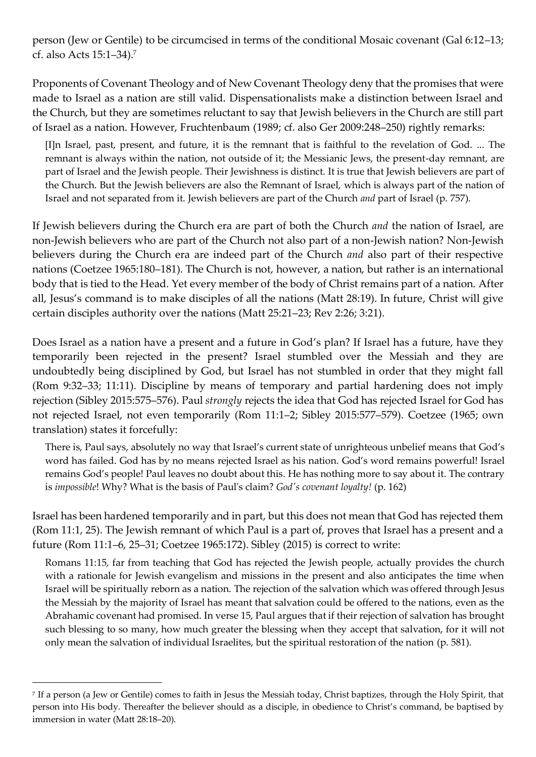person (Jew or Gentile) to be circumcised in terms of the conditional Mosaic covenant (Gal 6:12–13; cf. also Acts 15:1–34).<sup>7</sup>

Proponents of Covenant Theology and of New Covenant Theology deny that the promises that were made to Israel as a nation are still valid. Dispensationalists make a distinction between Israel and the Church, but they are sometimes reluctant to say that Jewish believers in the Church are still part of Israel as a nation. However, Fruchtenbaum (1989; cf. also Ger 2009:248–250) rightly remarks:

[I]n Israel, past, present, and future, it is the remnant that is faithful to the revelation of God. ... The remnant is always within the nation, not outside of it; the Messianic Jews, the present-day remnant, are part of Israel and the Jewish people. Their Jewishness is distinct. It is true that Jewish believers are part of the Church. But the Jewish believers are also the Remnant of Israel, which is always part of the nation of Israel and not separated from it. Jewish believers are part of the Church *and* part of Israel (p. 757).

If Jewish believers during the Church era are part of both the Church *and* the nation of Israel, are non-Jewish believers who are part of the Church not also part of a non-Jewish nation? Non-Jewish believers during the Church era are indeed part of the Church *and* also part of their respective nations (Coetzee 1965:180–181). The Church is not, however, a nation, but rather is an international body that is tied to the Head. Yet every member of the body of Christ remains part of a nation. After all, Jesus's command is to make disciples of all the nations (Matt 28:19). In future, Christ will give certain disciples authority over the nations (Matt 25:21–23; Rev 2:26; 3:21).

Does Israel as a nation have a present and a future in God's plan? If Israel has a future, have they temporarily been rejected in the present? Israel stumbled over the Messiah and they are undoubtedly being disciplined by God, but Israel has not stumbled in order that they might fall (Rom 9:32–33; 11:11). Discipline by means of temporary and partial hardening does not imply rejection (Sibley 2015:575–576). Paul *strongly* rejects the idea that God has rejected Israel for God has not rejected Israel, not even temporarily (Rom 11:1–2; Sibley 2015:577–579). Coetzee (1965; own translation) states it forcefully:

There is, Paul says, absolutely no way that Israel's current state of unrighteous unbelief means that God's word has failed. God has by no means rejected Israel as his nation. God's word remains powerful! Israel remains God's people! Paul leaves no doubt about this. He has nothing more to say about it. The contrary is *impossible*! Why? What is the basis of Paul's claim? *God's covenant loyalty!* (p. 162)

Israel has been hardened temporarily and in part, but this does not mean that God has rejected them (Rom 11:1, 25). The Jewish remnant of which Paul is a part of, proves that Israel has a present and a future (Rom 11:1–6, 25–31; Coetzee 1965:172). Sibley (2015) is correct to write:

Romans 11:15, far from teaching that God has rejected the Jewish people, actually provides the church with a rationale for Jewish evangelism and missions in the present and also anticipates the time when Israel will be spiritually reborn as a nation. The rejection of the salvation which was offered through Jesus the Messiah by the majority of Israel has meant that salvation could be offered to the nations, even as the Abrahamic covenant had promised. In verse 15, Paul argues that if their rejection of salvation has brought such blessing to so many, how much greater the blessing when they accept that salvation, for it will not only mean the salvation of individual Israelites, but the spiritual restoration of the nation (p. 581).

<sup>7</sup> If a person (a Jew or Gentile) comes to faith in Jesus the Messiah today, Christ baptizes, through the Holy Spirit, that person into His body. Thereafter the believer should as a disciple, in obedience to Christ's command, be baptised by immersion in water (Matt 28:18–20).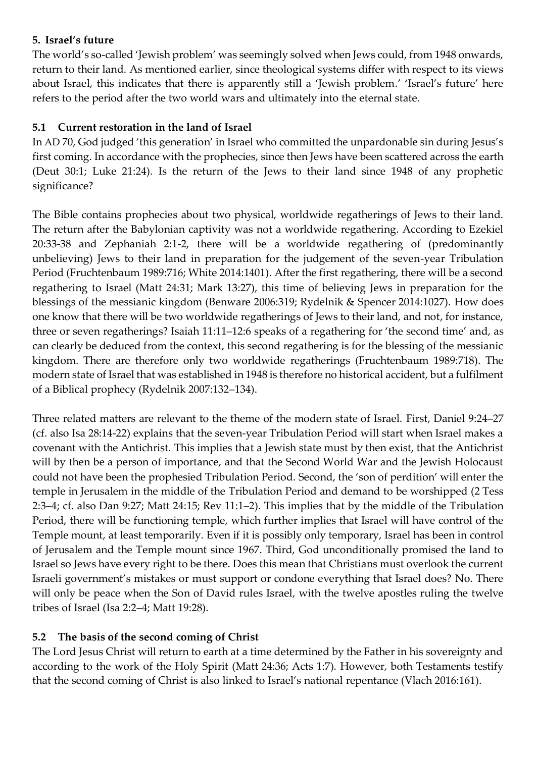## **5. Israel's future**

The world's so-called 'Jewish problem' was seemingly solved when Jews could, from 1948 onwards, return to their land. As mentioned earlier, since theological systems differ with respect to its views about Israel, this indicates that there is apparently still a 'Jewish problem.' 'Israel's future' here refers to the period after the two world wars and ultimately into the eternal state.

# **5.1 Current restoration in the land of Israel**

In AD 70, God judged 'this generation' in Israel who committed the unpardonable sin during Jesus's first coming. In accordance with the prophecies, since then Jews have been scattered across the earth (Deut 30:1; Luke 21:24). Is the return of the Jews to their land since 1948 of any prophetic significance?

The Bible contains prophecies about two physical, worldwide regatherings of Jews to their land. The return after the Babylonian captivity was not a worldwide regathering. According to Ezekiel 20:33-38 and Zephaniah 2:1-2, there will be a worldwide regathering of (predominantly unbelieving) Jews to their land in preparation for the judgement of the seven-year Tribulation Period (Fruchtenbaum 1989:716; White 2014:1401). After the first regathering, there will be a second regathering to Israel (Matt 24:31; Mark 13:27), this time of believing Jews in preparation for the blessings of the messianic kingdom (Benware 2006:319; Rydelnik & Spencer 2014:1027). How does one know that there will be two worldwide regatherings of Jews to their land, and not, for instance, three or seven regatherings? Isaiah 11:11–12:6 speaks of a regathering for 'the second time' and, as can clearly be deduced from the context, this second regathering is for the blessing of the messianic kingdom. There are therefore only two worldwide regatherings (Fruchtenbaum 1989:718). The modern state of Israel that was established in 1948 is therefore no historical accident, but a fulfilment of a Biblical prophecy (Rydelnik 2007:132–134).

Three related matters are relevant to the theme of the modern state of Israel. First, Daniel 9:24–27 (cf. also Isa 28:14-22) explains that the seven-year Tribulation Period will start when Israel makes a covenant with the Antichrist. This implies that a Jewish state must by then exist, that the Antichrist will by then be a person of importance, and that the Second World War and the Jewish Holocaust could not have been the prophesied Tribulation Period. Second, the 'son of perdition' will enter the temple in Jerusalem in the middle of the Tribulation Period and demand to be worshipped (2 Tess 2:3–4; cf. also Dan 9:27; Matt 24:15; Rev 11:1–2). This implies that by the middle of the Tribulation Period, there will be functioning temple, which further implies that Israel will have control of the Temple mount, at least temporarily. Even if it is possibly only temporary, Israel has been in control of Jerusalem and the Temple mount since 1967. Third, God unconditionally promised the land to Israel so Jews have every right to be there. Does this mean that Christians must overlook the current Israeli government's mistakes or must support or condone everything that Israel does? No. There will only be peace when the Son of David rules Israel, with the twelve apostles ruling the twelve tribes of Israel (Isa 2:2–4; Matt 19:28).

# **5.2 The basis of the second coming of Christ**

The Lord Jesus Christ will return to earth at a time determined by the Father in his sovereignty and according to the work of the Holy Spirit (Matt 24:36; Acts 1:7). However, both Testaments testify that the second coming of Christ is also linked to Israel's national repentance (Vlach 2016:161).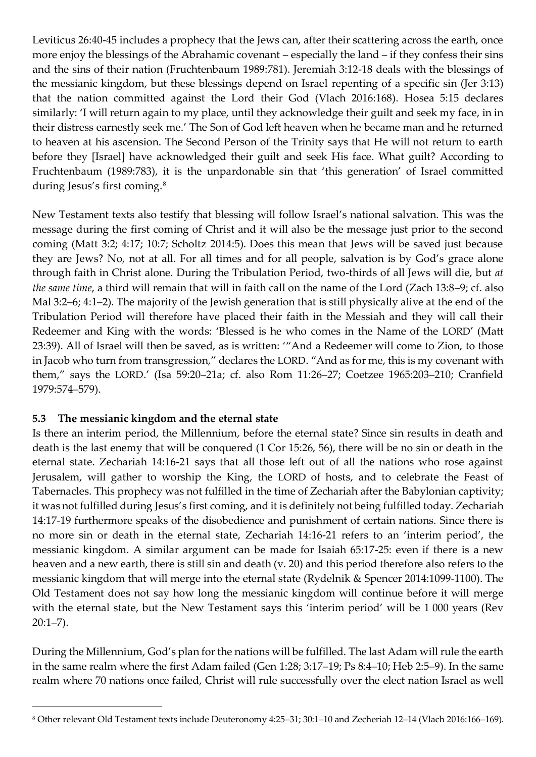Leviticus 26:40-45 includes a prophecy that the Jews can, after their scattering across the earth, once more enjoy the blessings of the Abrahamic covenant – especially the land – if they confess their sins and the sins of their nation (Fruchtenbaum 1989:781). Jeremiah 3:12-18 deals with the blessings of the messianic kingdom, but these blessings depend on Israel repenting of a specific sin (Jer 3:13) that the nation committed against the Lord their God (Vlach 2016:168). Hosea 5:15 declares similarly: 'I will return again to my place, until they acknowledge their guilt and seek my face, in in their distress earnestly seek me.' The Son of God left heaven when he became man and he returned to heaven at his ascension. The Second Person of the Trinity says that He will not return to earth before they [Israel] have acknowledged their guilt and seek His face. What guilt? According to Fruchtenbaum (1989:783), it is the unpardonable sin that 'this generation' of Israel committed during Jesus's first coming.<sup>8</sup>

New Testament texts also testify that blessing will follow Israel's national salvation. This was the message during the first coming of Christ and it will also be the message just prior to the second coming (Matt 3:2; 4:17; 10:7; Scholtz 2014:5). Does this mean that Jews will be saved just because they are Jews? No, not at all. For all times and for all people, salvation is by God's grace alone through faith in Christ alone. During the Tribulation Period, two-thirds of all Jews will die, but *at the same time*, a third will remain that will in faith call on the name of the Lord (Zach 13:8–9; cf. also Mal 3:2–6; 4:1–2). The majority of the Jewish generation that is still physically alive at the end of the Tribulation Period will therefore have placed their faith in the Messiah and they will call their Redeemer and King with the words: 'Blessed is he who comes in the Name of the LORD' (Matt 23:39). All of Israel will then be saved, as is written: '"And a Redeemer will come to Zion, to those in Jacob who turn from transgression," declares the LORD. "And as for me, this is my covenant with them," says the LORD.' (Isa 59:20–21a; cf. also Rom 11:26–27; Coetzee 1965:203–210; Cranfield 1979:574–579).

#### **5.3 The messianic kingdom and the eternal state**

-

Is there an interim period, the Millennium, before the eternal state? Since sin results in death and death is the last enemy that will be conquered (1 Cor 15:26, 56), there will be no sin or death in the eternal state. Zechariah 14:16-21 says that all those left out of all the nations who rose against Jerusalem, will gather to worship the King, the LORD of hosts, and to celebrate the Feast of Tabernacles. This prophecy was not fulfilled in the time of Zechariah after the Babylonian captivity; it was not fulfilled during Jesus's first coming, and it is definitely not being fulfilled today. Zechariah 14:17-19 furthermore speaks of the disobedience and punishment of certain nations. Since there is no more sin or death in the eternal state, Zechariah 14:16-21 refers to an 'interim period', the messianic kingdom. A similar argument can be made for Isaiah 65:17-25: even if there is a new heaven and a new earth, there is still sin and death (v. 20) and this period therefore also refers to the messianic kingdom that will merge into the eternal state (Rydelnik & Spencer 2014:1099-1100). The Old Testament does not say how long the messianic kingdom will continue before it will merge with the eternal state, but the New Testament says this 'interim period' will be 1 000 years (Rev  $20:1 - 7$ ).

During the Millennium, God's plan for the nations will be fulfilled. The last Adam will rule the earth in the same realm where the first Adam failed (Gen 1:28; 3:17–19; Ps 8:4–10; Heb 2:5–9). In the same realm where 70 nations once failed, Christ will rule successfully over the elect nation Israel as well

<sup>8</sup> Other relevant Old Testament texts include Deuteronomy 4:25–31; 30:1–10 and Zecheriah 12–14 (Vlach 2016:166–169).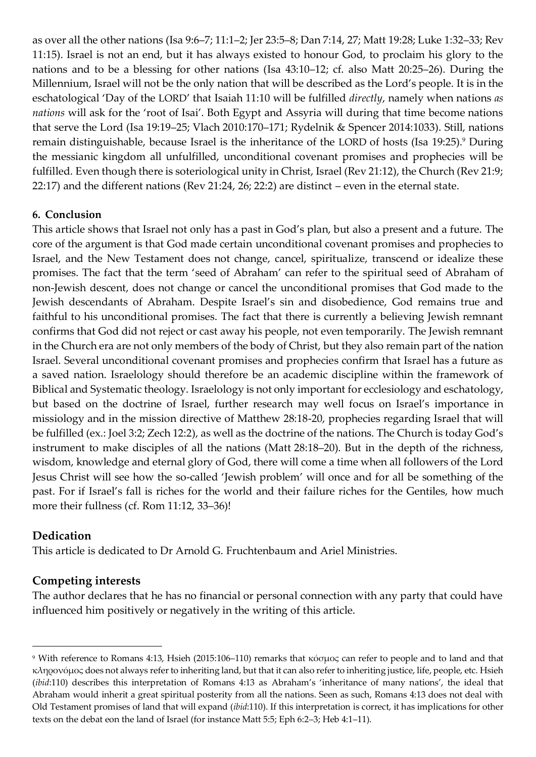as over all the other nations (Isa 9:6–7; 11:1–2; Jer 23:5–8; Dan 7:14, 27; Matt 19:28; Luke 1:32–33; Rev 11:15). Israel is not an end, but it has always existed to honour God, to proclaim his glory to the nations and to be a blessing for other nations (Isa 43:10–12; cf. also Matt 20:25–26). During the Millennium, Israel will not be the only nation that will be described as the Lord's people. It is in the eschatological 'Day of the LORD' that Isaiah 11:10 will be fulfilled *directly*, namely when nations *as nations* will ask for the 'root of Isai'. Both Egypt and Assyria will during that time become nations that serve the Lord (Isa 19:19–25; Vlach 2010:170–171; Rydelnik & Spencer 2014:1033). Still, nations remain distinguishable, because Israel is the inheritance of the LORD of hosts (Isa 19:25).<sup>9</sup> During the messianic kingdom all unfulfilled, unconditional covenant promises and prophecies will be fulfilled. Even though there is soteriological unity in Christ, Israel (Rev 21:12), the Church (Rev 21:9; 22:17) and the different nations (Rev 21:24, 26; 22:2) are distinct – even in the eternal state.

### **6. Conclusion**

This article shows that Israel not only has a past in God's plan, but also a present and a future. The core of the argument is that God made certain unconditional covenant promises and prophecies to Israel, and the New Testament does not change, cancel, spiritualize, transcend or idealize these promises. The fact that the term 'seed of Abraham' can refer to the spiritual seed of Abraham of non-Jewish descent, does not change or cancel the unconditional promises that God made to the Jewish descendants of Abraham. Despite Israel's sin and disobedience, God remains true and faithful to his unconditional promises. The fact that there is currently a believing Jewish remnant confirms that God did not reject or cast away his people, not even temporarily. The Jewish remnant in the Church era are not only members of the body of Christ, but they also remain part of the nation Israel. Several unconditional covenant promises and prophecies confirm that Israel has a future as a saved nation. Israelology should therefore be an academic discipline within the framework of Biblical and Systematic theology. Israelology is not only important for ecclesiology and eschatology, but based on the doctrine of Israel, further research may well focus on Israel's importance in missiology and in the mission directive of Matthew 28:18-20, prophecies regarding Israel that will be fulfilled (ex.: Joel 3:2; Zech 12:2), as well as the doctrine of the nations. The Church is today God's instrument to make disciples of all the nations (Matt 28:18–20). But in the depth of the richness, wisdom, knowledge and eternal glory of God, there will come a time when all followers of the Lord Jesus Christ will see how the so-called 'Jewish problem' will once and for all be something of the past. For if Israel's fall is riches for the world and their failure riches for the Gentiles, how much more their fullness (cf. Rom 11:12, 33–36)!

#### **Dedication**

-

This article is dedicated to Dr Arnold G. Fruchtenbaum and Ariel Ministries.

# **Competing interests**

The author declares that he has no financial or personal connection with any party that could have influenced him positively or negatively in the writing of this article.

<sup>9</sup> With reference to Romans 4:13, Hsieh (2015:106–110) remarks that κόσμος can refer to people and to land and that κληρονόμος does not always refer to inheriting land, but that it can also refer to inheriting justice, life, people, etc. Hsieh (*ibid*:110) describes this interpretation of Romans 4:13 as Abraham's 'inheritance of many nations', the ideal that Abraham would inherit a great spiritual posterity from all the nations. Seen as such, Romans 4:13 does not deal with Old Testament promises of land that will expand (*ibid*:110). If this interpretation is correct, it has implications for other texts on the debat eon the land of Israel (for instance Matt 5:5; Eph 6:2–3; Heb 4:1–11).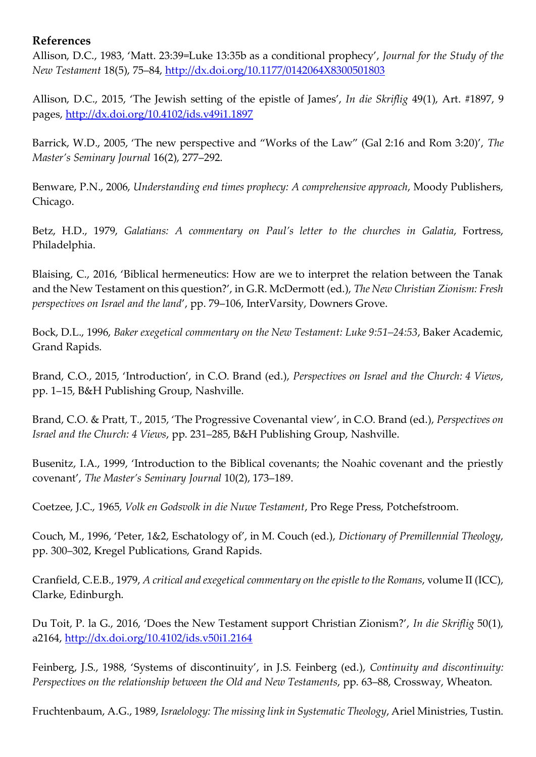## **References**

Allison, D.C., 1983, 'Matt. 23:39=Luke 13:35b as a conditional prophecy', *Journal for the Study of the New Testament* 18(5), 75–84,<http://dx.doi.org/10.1177/0142064X8300501803>

Allison, D.C., 2015, 'The Jewish setting of the epistle of James', *In die Skriflig* 49(1), Art. #1897, 9 pages, <http://dx.doi.org/10.4102/ids.v49i1.1897>

Barrick, W.D., 2005, 'The new perspective and "Works of the Law" (Gal 2:16 and Rom 3:20)', *The Master's Seminary Journal* 16(2), 277–292.

Benware, P.N., 2006, *Understanding end times prophecy: A comprehensive approach*, Moody Publishers, Chicago.

Betz, H.D., 1979, *Galatians: A commentary on Paul's letter to the churches in Galatia*, Fortress, Philadelphia.

Blaising, C., 2016, 'Biblical hermeneutics: How are we to interpret the relation between the Tanak and the New Testament on this question?', in G.R. McDermott (ed.), *The New Christian Zionism: Fresh perspectives on Israel and the land*', pp. 79–106, InterVarsity, Downers Grove.

Bock, D.L., 1996, *Baker exegetical commentary on the New Testament: Luke 9:51–24:53*, Baker Academic, Grand Rapids.

Brand, C.O., 2015, 'Introduction', in C.O. Brand (ed.), *Perspectives on Israel and the Church: 4 Views*, pp. 1–15, B&H Publishing Group, Nashville.

Brand, C.O. & Pratt, T., 2015, 'The Progressive Covenantal view', in C.O. Brand (ed.), *Perspectives on Israel and the Church: 4 Views*, pp. 231–285, B&H Publishing Group, Nashville.

Busenitz, I.A., 1999, 'Introduction to the Biblical covenants; the Noahic covenant and the priestly covenant', *The Master's Seminary Journal* 10(2), 173–189.

Coetzee, J.C., 1965, *Volk en Godsvolk in die Nuwe Testament*, Pro Rege Press, Potchefstroom.

Couch, M., 1996, 'Peter, 1&2, Eschatology of', in M. Couch (ed.), *Dictionary of Premillennial Theology*, pp. 300–302, Kregel Publications, Grand Rapids.

Cranfield, C.E.B., 1979, *A critical and exegetical commentary on the epistle to the Romans*, volume II (ICC), Clarke, Edinburgh.

Du Toit, P. la G., 2016, 'Does the New Testament support Christian Zionism?', *In die Skriflig* 50(1), a2164, <http://dx.doi.org/10.4102/ids.v50i1.2164>

Feinberg, J.S., 1988, 'Systems of discontinuity', in J.S. Feinberg (ed.), *Continuity and discontinuity: Perspectives on the relationship between the Old and New Testaments*, pp. 63–88, Crossway, Wheaton.

Fruchtenbaum, A.G., 1989, *Israelology: The missing link in Systematic Theology*, Ariel Ministries, Tustin.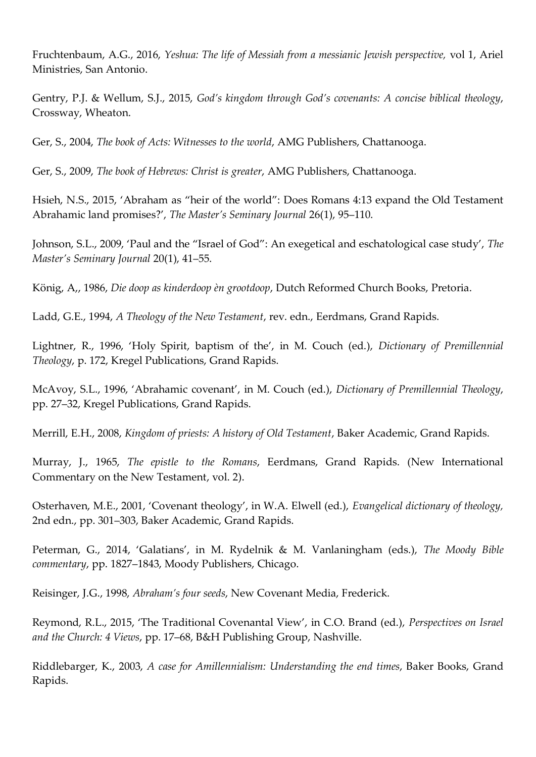Fruchtenbaum, A.G., 2016, *Yeshua: The life of Messiah from a messianic Jewish perspective,* vol 1, Ariel Ministries, San Antonio.

Gentry, P.J. & Wellum, S.J., 2015, *God's kingdom through God's covenants: A concise biblical theology*, Crossway, Wheaton.

Ger, S., 2004, *The book of Acts: Witnesses to the world*, AMG Publishers, Chattanooga.

Ger, S., 2009, *The book of Hebrews: Christ is greater*, AMG Publishers, Chattanooga.

Hsieh, N.S., 2015, 'Abraham as "heir of the world": Does Romans 4:13 expand the Old Testament Abrahamic land promises?', *The Master's Seminary Journal* 26(1), 95–110.

Johnson, S.L., 2009, 'Paul and the "Israel of God": An exegetical and eschatological case study', *The Master's Seminary Journal* 20(1), 41–55.

König, A,, 1986, *Die doop as kinderdoop èn grootdoop*, Dutch Reformed Church Books, Pretoria.

Ladd, G.E., 1994, *A Theology of the New Testament*, rev. edn., Eerdmans, Grand Rapids.

Lightner, R., 1996, 'Holy Spirit, baptism of the', in M. Couch (ed.), *Dictionary of Premillennial Theology*, p. 172, Kregel Publications, Grand Rapids.

McAvoy, S.L., 1996, 'Abrahamic covenant', in M. Couch (ed.), *Dictionary of Premillennial Theology*, pp. 27–32, Kregel Publications, Grand Rapids.

Merrill, E.H., 2008, *Kingdom of priests: A history of Old Testament*, Baker Academic, Grand Rapids.

Murray, J., 1965, *The epistle to the Romans*, Eerdmans, Grand Rapids. (New International Commentary on the New Testament, vol. 2).

Osterhaven, M.E., 2001, 'Covenant theology', in W.A. Elwell (ed.), *Evangelical dictionary of theology,* 2nd edn., pp. 301–303, Baker Academic, Grand Rapids.

Peterman, G., 2014, 'Galatians', in M. Rydelnik & M. Vanlaningham (eds.), *The Moody Bible commentary*, pp. 1827–1843, Moody Publishers, Chicago.

Reisinger, J.G., 1998, *Abraham's four seeds*, New Covenant Media, Frederick.

Reymond, R.L., 2015, 'The Traditional Covenantal View', in C.O. Brand (ed.), *Perspectives on Israel and the Church: 4 Views*, pp. 17–68, B&H Publishing Group, Nashville.

Riddlebarger, K., 2003, *A case for Amillennialism: Understanding the end times*, Baker Books, Grand Rapids.